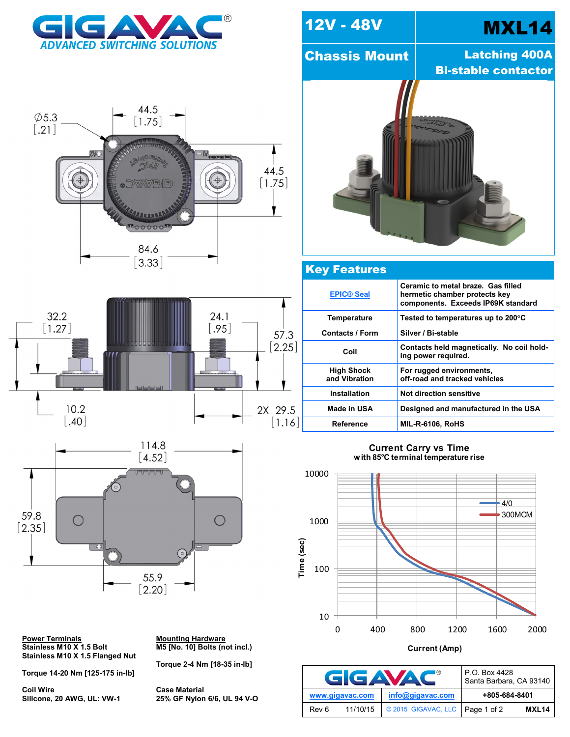







**Power Terminals<br>Stainless M10 X 1.5 Bolt Stainless M10 X 1.5 Flanged Nut**

**Torque 14-20 Nm [125-175 in-lb]**

**Coil Wire**<br>**Silicone, 20 AWG, UL: VW-1** 

**Mounting Hardware**<br>M5 [No. 10] Bolts (not incl.)

**Torque 2-4 Nm [18-35 in-lb]**

**Silicone, 20 AWG, UL: VW-1 25% GF Nylon 6/6, UL 94 V-O**



## Key Features

| <b>EPIC® Seal</b>                  | Ceramic to metal braze. Gas filled<br>hermetic chamber protects key<br>components. Exceeds IP69K standard |
|------------------------------------|-----------------------------------------------------------------------------------------------------------|
| Temperature                        | Tested to temperatures up to 200 $\mathrm{^{\circ}C}$                                                     |
| <b>Contacts / Form</b>             | Silver / Bi-stable                                                                                        |
| Coil                               | Contacts held magnetically. No coil hold-<br>ing power required.                                          |
| <b>High Shock</b><br>and Vibration | For rugged environments,<br>off-road and tracked vehicles                                                 |
| <b>Installation</b>                | Not direction sensitive                                                                                   |
| Made in USA                        | Designed and manufactured in the USA                                                                      |
| Reference                          | <b>MIL-R-6106, RoHS</b>                                                                                   |

## **Current Carry vs Time with 85 C terminal temperature rise**



**Current (Amp)**

| GIGAVAC         |          |                                   | P.O. Box 4428<br>Santa Barbara, CA 93140 |       |
|-----------------|----------|-----------------------------------|------------------------------------------|-------|
| www.gigavac.com |          | info@gigavac.com                  | +805-684-8401                            |       |
| Rev 6           | 11/10/15 | © 2015 GIGAVAC, LLC   Page 1 of 2 |                                          | MXL14 |